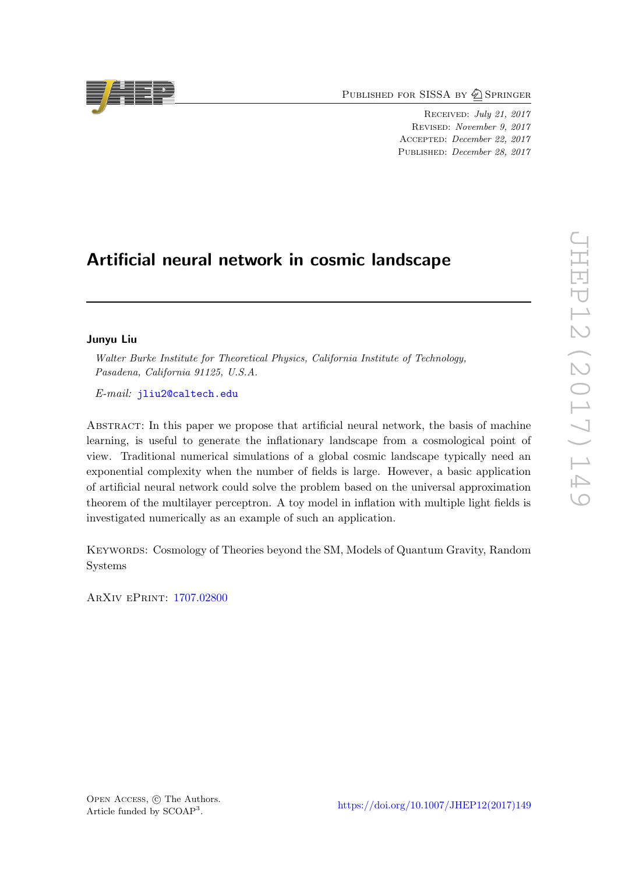PUBLISHED FOR SISSA BY 2 SPRINGER

Received: July 21, 2017 Revised: November 9, 2017 Accepted: December 22, 2017 PUBLISHED: *December 28, 2017* 

# Artificial neural network in cosmic landscape

# Junyu Liu

Walter Burke Institute for Theoretical Physics, California Institute of Technology, Pasadena, California 91125, U.S.A.

E-mail: [jliu2@caltech.edu](mailto:jliu2@caltech.edu)

Abstract: In this paper we propose that artificial neural network, the basis of machine learning, is useful to generate the inflationary landscape from a cosmological point of view. Traditional numerical simulations of a global cosmic landscape typically need an exponential complexity when the number of fields is large. However, a basic application of artificial neural network could solve the problem based on the universal approximation theorem of the multilayer perceptron. A toy model in inflation with multiple light fields is investigated numerically as an example of such an application.

Keywords: Cosmology of Theories beyond the SM, Models of Quantum Gravity, Random **Systems** 

ArXiv ePrint: [1707.02800](https://arxiv.org/abs/1707.02800)



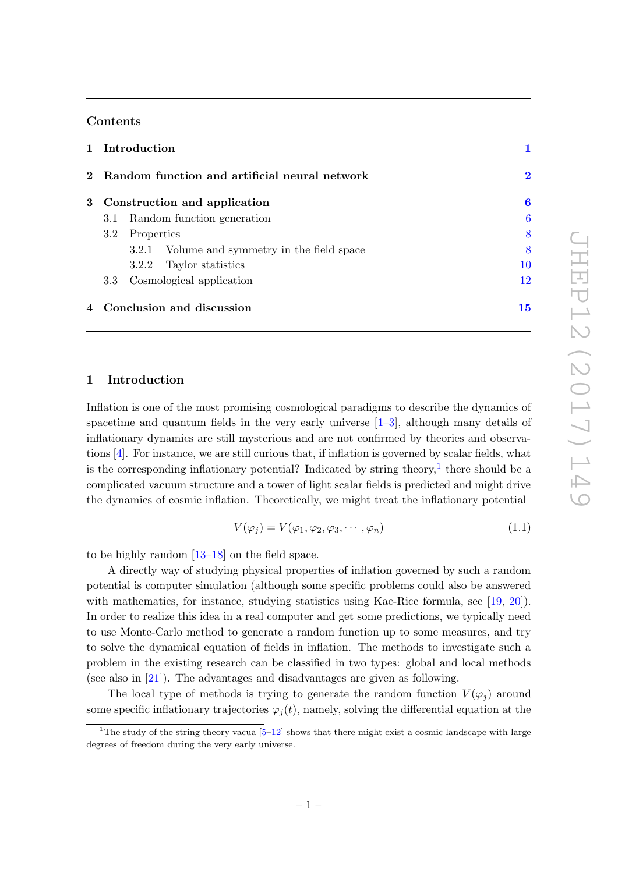## Contents

|  | 1 Introduction<br>2 Random function and artificial neural network |            |                                              |          |
|--|-------------------------------------------------------------------|------------|----------------------------------------------|----------|
|  |                                                                   |            |                                              | $\bf{2}$ |
|  | 3 Construction and application                                    |            |                                              | 6        |
|  |                                                                   |            | 3.1 Random function generation               | 6        |
|  | $3.2^{\circ}$                                                     | Properties |                                              | 8        |
|  |                                                                   |            | 3.2.1 Volume and symmetry in the field space | 8        |
|  |                                                                   |            | 3.2.2 Taylor statistics                      | 10       |
|  | Cosmological application<br>3.3                                   |            | 12                                           |          |
|  | 4 Conclusion and discussion                                       |            |                                              | 15       |

# <span id="page-1-0"></span>1 Introduction

Inflation is one of the most promising cosmological paradigms to describe the dynamics of spacetime and quantum fields in the very early universe  $[1-3]$  $[1-3]$ , although many details of inflationary dynamics are still mysterious and are not confirmed by theories and observations [\[4\]](#page-16-0). For instance, we are still curious that, if inflation is governed by scalar fields, what is the corresponding inflationary potential? Indicated by string theory,<sup>[1](#page-1-1)</sup> there should be a complicated vacuum structure and a tower of light scalar fields is predicted and might drive the dynamics of cosmic inflation. Theoretically, we might treat the inflationary potential

$$
V(\varphi_j) = V(\varphi_1, \varphi_2, \varphi_3, \cdots, \varphi_n) \tag{1.1}
$$

to be highly random [\[13–](#page-16-1)[18\]](#page-16-2) on the field space.

A directly way of studying physical properties of inflation governed by such a random potential is computer simulation (although some specific problems could also be answered with mathematics, for instance, studying statistics using Kac-Rice formula, see [\[19,](#page-16-3) [20\]](#page-16-4)). In order to realize this idea in a real computer and get some predictions, we typically need to use Monte-Carlo method to generate a random function up to some measures, and try to solve the dynamical equation of fields in inflation. The methods to investigate such a problem in the existing research can be classified in two types: global and local methods (see also in [\[21\]](#page-16-5)). The advantages and disadvantages are given as following.

The local type of methods is trying to generate the random function  $V(\varphi_i)$  around some specific inflationary trajectories  $\varphi_j(t)$ , namely, solving the differential equation at the

<span id="page-1-1"></span><sup>&</sup>lt;sup>1</sup>The study of the string theory vacua  $[5-12]$  $[5-12]$  shows that there might exist a cosmic landscape with large degrees of freedom during the very early universe.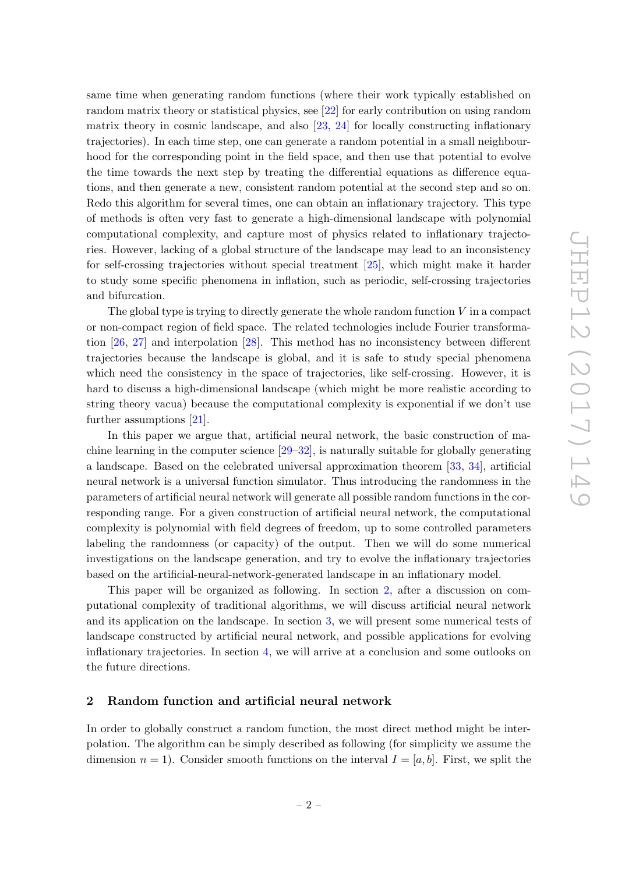same time when generating random functions (where their work typically established on random matrix theory or statistical physics, see [\[22\]](#page-16-8) for early contribution on using random matrix theory in cosmic landscape, and also [\[23,](#page-16-9) [24\]](#page-16-10) for locally constructing inflationary trajectories). In each time step, one can generate a random potential in a small neighbourhood for the corresponding point in the field space, and then use that potential to evolve the time towards the next step by treating the differential equations as difference equations, and then generate a new, consistent random potential at the second step and so on. Redo this algorithm for several times, one can obtain an inflationary trajectory. This type of methods is often very fast to generate a high-dimensional landscape with polynomial computational complexity, and capture most of physics related to inflationary trajectories. However, lacking of a global structure of the landscape may lead to an inconsistency for self-crossing trajectories without special treatment [\[25\]](#page-17-0), which might make it harder to study some specific phenomena in inflation, such as periodic, self-crossing trajectories and bifurcation.

The global type is trying to directly generate the whole random function  $V$  in a compact or non-compact region of field space. The related technologies include Fourier transformation [\[26,](#page-17-1) [27\]](#page-17-2) and interpolation [\[28\]](#page-17-3). This method has no inconsistency between different trajectories because the landscape is global, and it is safe to study special phenomena which need the consistency in the space of trajectories, like self-crossing. However, it is hard to discuss a high-dimensional landscape (which might be more realistic according to string theory vacua) because the computational complexity is exponential if we don't use further assumptions [\[21\]](#page-16-5).

In this paper we argue that, artificial neural network, the basic construction of machine learning in the computer science  $[29-32]$  $[29-32]$ , is naturally suitable for globally generating a landscape. Based on the celebrated universal approximation theorem [\[33,](#page-17-6) [34\]](#page-17-7), artificial neural network is a universal function simulator. Thus introducing the randomness in the parameters of artificial neural network will generate all possible random functions in the corresponding range. For a given construction of artificial neural network, the computational complexity is polynomial with field degrees of freedom, up to some controlled parameters labeling the randomness (or capacity) of the output. Then we will do some numerical investigations on the landscape generation, and try to evolve the inflationary trajectories based on the artificial-neural-network-generated landscape in an inflationary model.

This paper will be organized as following. In section [2,](#page-2-0) after a discussion on computational complexity of traditional algorithms, we will discuss artificial neural network and its application on the landscape. In section [3,](#page-6-0) we will present some numerical tests of landscape constructed by artificial neural network, and possible applications for evolving inflationary trajectories. In section [4,](#page-15-0) we will arrive at a conclusion and some outlooks on the future directions.

## <span id="page-2-0"></span>2 Random function and artificial neural network

In order to globally construct a random function, the most direct method might be interpolation. The algorithm can be simply described as following (for simplicity we assume the dimension  $n = 1$ ). Consider smooth functions on the interval  $I = [a, b]$ . First, we split the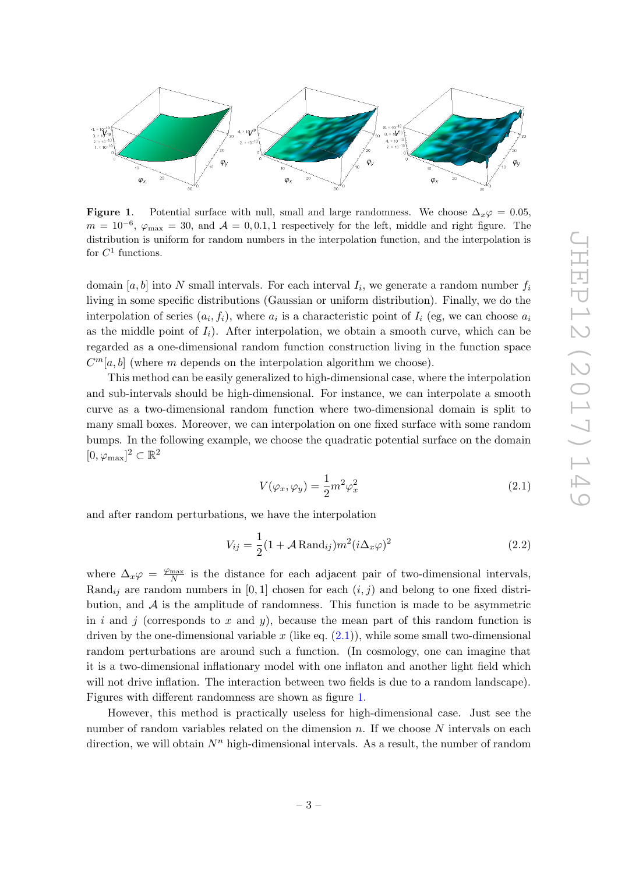

<span id="page-3-1"></span>**Figure 1.** Potential surface with null, small and large randomness. We choose  $\Delta_x\varphi = 0.05$ ,  $m = 10^{-6}$ ,  $\varphi_{\text{max}} = 30$ , and  $\mathcal{A} = 0, 0.1, 1$  respectively for the left, middle and right figure. The distribution is uniform for random numbers in the interpolation function, and the interpolation is for  $C^1$  functions.

domain  $[a, b]$  into N small intervals. For each interval  $I_i$ , we generate a random number  $f_i$ living in some specific distributions (Gaussian or uniform distribution). Finally, we do the interpolation of series  $(a_i, f_i)$ , where  $a_i$  is a characteristic point of  $I_i$  (eg, we can choose  $a_i$ as the middle point of  $I_i$ ). After interpolation, we obtain a smooth curve, which can be regarded as a one-dimensional random function construction living in the function space  $C<sup>m</sup>[a, b]$  (where m depends on the interpolation algorithm we choose).

This method can be easily generalized to high-dimensional case, where the interpolation and sub-intervals should be high-dimensional. For instance, we can interpolate a smooth curve as a two-dimensional random function where two-dimensional domain is split to many small boxes. Moreover, we can interpolation on one fixed surface with some random bumps. In the following example, we choose the quadratic potential surface on the domain  $[0, \varphi_{\text{max}}]^2 \subset \mathbb{R}^2$ 

<span id="page-3-0"></span>
$$
V(\varphi_x, \varphi_y) = \frac{1}{2}m^2 \varphi_x^2 \tag{2.1}
$$

and after random perturbations, we have the interpolation

$$
V_{ij} = \frac{1}{2}(1 + \mathcal{A} \text{Rand}_{ij})m^2(i\Delta_x \varphi)^2
$$
 (2.2)

where  $\Delta_x \varphi = \frac{\varphi_{\text{max}}}{N}$  $\frac{\text{max}}{N}$  is the distance for each adjacent pair of two-dimensional intervals, Rand<sub>ij</sub> are random numbers in [0, 1] chosen for each  $(i, j)$  and belong to one fixed distribution, and  $A$  is the amplitude of randomness. This function is made to be asymmetric in i and j (corresponds to x and y), because the mean part of this random function is driven by the one-dimensional variable x (like eq.  $(2.1)$ ), while some small two-dimensional random perturbations are around such a function. (In cosmology, one can imagine that it is a two-dimensional inflationary model with one inflaton and another light field which will not drive inflation. The interaction between two fields is due to a random landscape). Figures with different randomness are shown as figure [1.](#page-3-1)

However, this method is practically useless for high-dimensional case. Just see the number of random variables related on the dimension  $n$ . If we choose  $N$  intervals on each direction, we will obtain  $N^n$  high-dimensional intervals. As a result, the number of random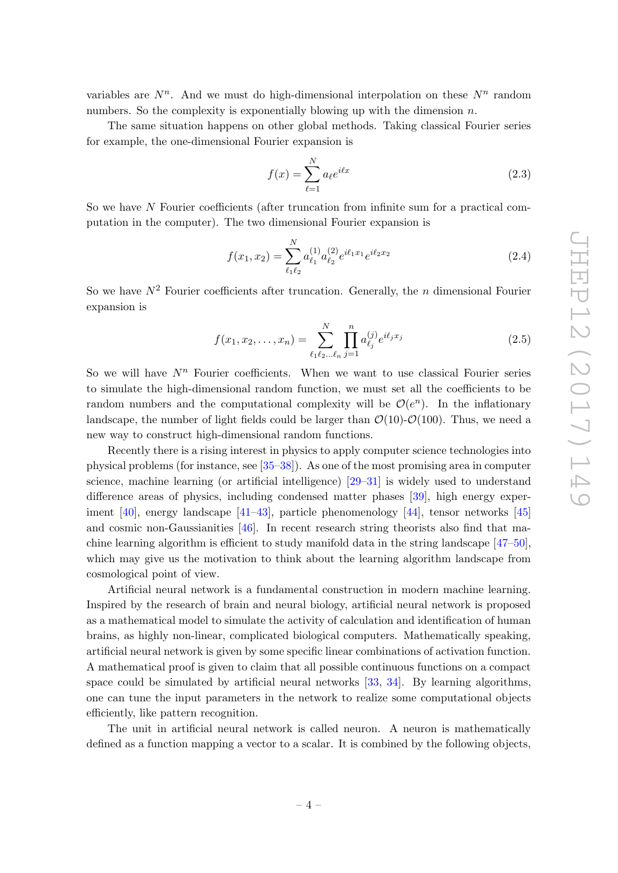variables are  $N^n$ . And we must do high-dimensional interpolation on these  $N^n$  random numbers. So the complexity is exponentially blowing up with the dimension  $n$ .

The same situation happens on other global methods. Taking classical Fourier series for example, the one-dimensional Fourier expansion is

$$
f(x) = \sum_{\ell=1}^{N} a_{\ell} e^{i\ell x} \tag{2.3}
$$

So we have N Fourier coefficients (after truncation from infinite sum for a practical computation in the computer). The two dimensional Fourier expansion is

$$
f(x_1, x_2) = \sum_{\ell_1 \ell_2}^{N} a_{\ell_1}^{(1)} a_{\ell_2}^{(2)} e^{i\ell_1 x_1} e^{i\ell_2 x_2}
$$
 (2.4)

So we have  $N^2$  Fourier coefficients after truncation. Generally, the *n* dimensional Fourier expansion is

$$
f(x_1, x_2, \dots, x_n) = \sum_{\ell_1 \ell_2 \dots \ell_n}^{N} \prod_{j=1}^{n} a_{\ell_j}^{(j)} e^{i\ell_j x_j}
$$
 (2.5)

So we will have  $N^n$  Fourier coefficients. When we want to use classical Fourier series to simulate the high-dimensional random function, we must set all the coefficients to be random numbers and the computational complexity will be  $\mathcal{O}(e^n)$ . In the inflationary landscape, the number of light fields could be larger than  $\mathcal{O}(10)$ - $\mathcal{O}(100)$ . Thus, we need a new way to construct high-dimensional random functions.

Recently there is a rising interest in physics to apply computer science technologies into physical problems (for instance, see [\[35](#page-17-8)[–38\]](#page-17-9)). As one of the most promising area in computer science, machine learning (or artificial intelligence) [\[29](#page-17-4)[–31\]](#page-17-10) is widely used to understand difference areas of physics, including condensed matter phases [\[39\]](#page-17-11), high energy experiment [\[40\]](#page-17-12), energy landscape [\[41](#page-17-13)[–43\]](#page-17-14), particle phenomenology [\[44\]](#page-17-15), tensor networks [\[45\]](#page-17-16) and cosmic non-Gaussianities [\[46\]](#page-17-17). In recent research string theorists also find that machine learning algorithm is efficient to study manifold data in the string landscape [\[47–](#page-18-0)[50\]](#page-18-1), which may give us the motivation to think about the learning algorithm landscape from cosmological point of view.

Artificial neural network is a fundamental construction in modern machine learning. Inspired by the research of brain and neural biology, artificial neural network is proposed as a mathematical model to simulate the activity of calculation and identification of human brains, as highly non-linear, complicated biological computers. Mathematically speaking, artificial neural network is given by some specific linear combinations of activation function. A mathematical proof is given to claim that all possible continuous functions on a compact space could be simulated by artificial neural networks [\[33,](#page-17-6) [34\]](#page-17-7). By learning algorithms, one can tune the input parameters in the network to realize some computational objects efficiently, like pattern recognition.

The unit in artificial neural network is called neuron. A neuron is mathematically defined as a function mapping a vector to a scalar. It is combined by the following objects,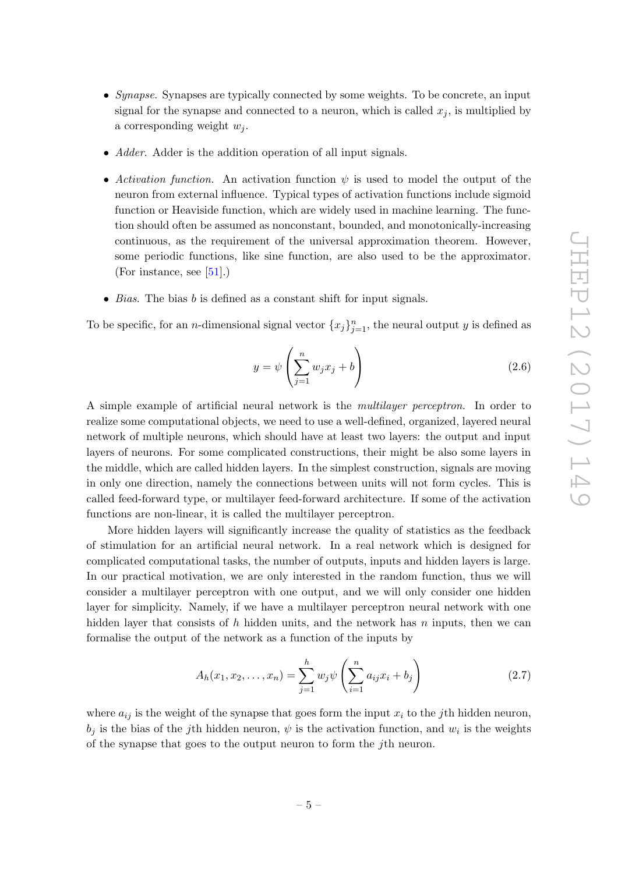- Synapse. Synapses are typically connected by some weights. To be concrete, an input signal for the synapse and connected to a neuron, which is called  $x_j$ , is multiplied by a corresponding weight  $w_i$ .
- Adder. Adder is the addition operation of all input signals.
- Activation function. An activation function  $\psi$  is used to model the output of the neuron from external influence. Typical types of activation functions include sigmoid function or Heaviside function, which are widely used in machine learning. The function should often be assumed as nonconstant, bounded, and monotonically-increasing continuous, as the requirement of the universal approximation theorem. However, some periodic functions, like sine function, are also used to be the approximator. (For instance, see  $[51]$ .)
- *Bias*. The bias  $b$  is defined as a constant shift for input signals.

To be specific, for an *n*-dimensional signal vector  ${x_j}_{j=1}^n$ , the neural output y is defined as

$$
y = \psi \left( \sum_{j=1}^{n} w_j x_j + b \right) \tag{2.6}
$$

A simple example of artificial neural network is the multilayer perceptron. In order to realize some computational objects, we need to use a well-defined, organized, layered neural network of multiple neurons, which should have at least two layers: the output and input layers of neurons. For some complicated constructions, their might be also some layers in the middle, which are called hidden layers. In the simplest construction, signals are moving in only one direction, namely the connections between units will not form cycles. This is called feed-forward type, or multilayer feed-forward architecture. If some of the activation functions are non-linear, it is called the multilayer perceptron.

More hidden layers will significantly increase the quality of statistics as the feedback of stimulation for an artificial neural network. In a real network which is designed for complicated computational tasks, the number of outputs, inputs and hidden layers is large. In our practical motivation, we are only interested in the random function, thus we will consider a multilayer perceptron with one output, and we will only consider one hidden layer for simplicity. Namely, if we have a multilayer perceptron neural network with one hidden layer that consists of h hidden units, and the network has  $n$  inputs, then we can formalise the output of the network as a function of the inputs by

<span id="page-5-0"></span>
$$
A_h(x_1, x_2, \dots, x_n) = \sum_{j=1}^h w_j \psi \left( \sum_{i=1}^n a_{ij} x_i + b_j \right) \tag{2.7}
$$

where  $a_{ij}$  is the weight of the synapse that goes form the input  $x_i$  to the jth hidden neuron,  $b_j$  is the bias of the j<sup>th</sup> hidden neuron,  $\psi$  is the activation function, and  $w_i$  is the weights of the synapse that goes to the output neuron to form the jth neuron.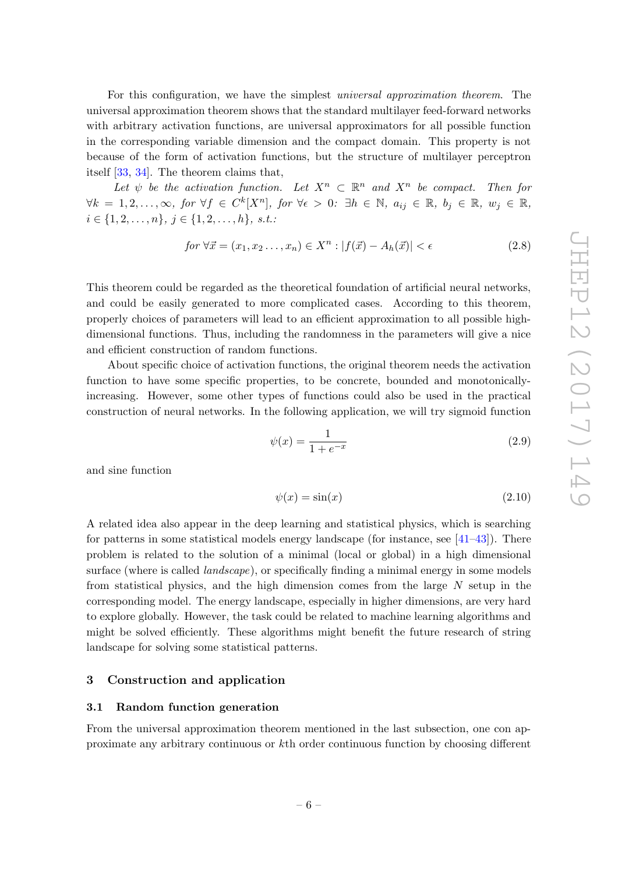For this configuration, we have the simplest universal approximation theorem. The universal approximation theorem shows that the standard multilayer feed-forward networks with arbitrary activation functions, are universal approximators for all possible function in the corresponding variable dimension and the compact domain. This property is not because of the form of activation functions, but the structure of multilayer perceptron itself [\[33,](#page-17-6) [34\]](#page-17-7). The theorem claims that,

Let  $\psi$  be the activation function. Let  $X^n \subset \mathbb{R}^n$  and  $X^n$  be compact. Then for  $\forall k = 1, 2, \ldots, \infty, for \ \forall f \in C^k[X^n], for \ \forall \epsilon > 0: \ \exists h \in \mathbb{N}, a_{ij} \in \mathbb{R}, b_j \in \mathbb{R}, w_j \in \mathbb{R},$  $i \in \{1, 2, \ldots, n\}, \ j \in \{1, 2, \ldots, h\}, \ s.t.$ 

$$
for \,\forall \vec{x} = (x_1, x_2 \dots, x_n) \in X^n : |f(\vec{x}) - A_h(\vec{x})| < \epsilon \tag{2.8}
$$

This theorem could be regarded as the theoretical foundation of artificial neural networks, and could be easily generated to more complicated cases. According to this theorem, properly choices of parameters will lead to an efficient approximation to all possible highdimensional functions. Thus, including the randomness in the parameters will give a nice and efficient construction of random functions.

About specific choice of activation functions, the original theorem needs the activation function to have some specific properties, to be concrete, bounded and monotonicallyincreasing. However, some other types of functions could also be used in the practical construction of neural networks. In the following application, we will try sigmoid function

$$
\psi(x) = \frac{1}{1 + e^{-x}}\tag{2.9}
$$

and sine function

$$
\psi(x) = \sin(x) \tag{2.10}
$$

A related idea also appear in the deep learning and statistical physics, which is searching for patterns in some statistical models energy landscape (for instance, see  $[41-43]$  $[41-43]$ ). There problem is related to the solution of a minimal (local or global) in a high dimensional surface (where is called *landscape*), or specifically finding a minimal energy in some models from statistical physics, and the high dimension comes from the large  $N$  setup in the corresponding model. The energy landscape, especially in higher dimensions, are very hard to explore globally. However, the task could be related to machine learning algorithms and might be solved efficiently. These algorithms might benefit the future research of string landscape for solving some statistical patterns.

## <span id="page-6-0"></span>3 Construction and application

## <span id="page-6-1"></span>3.1 Random function generation

From the universal approximation theorem mentioned in the last subsection, one con approximate any arbitrary continuous or kth order continuous function by choosing different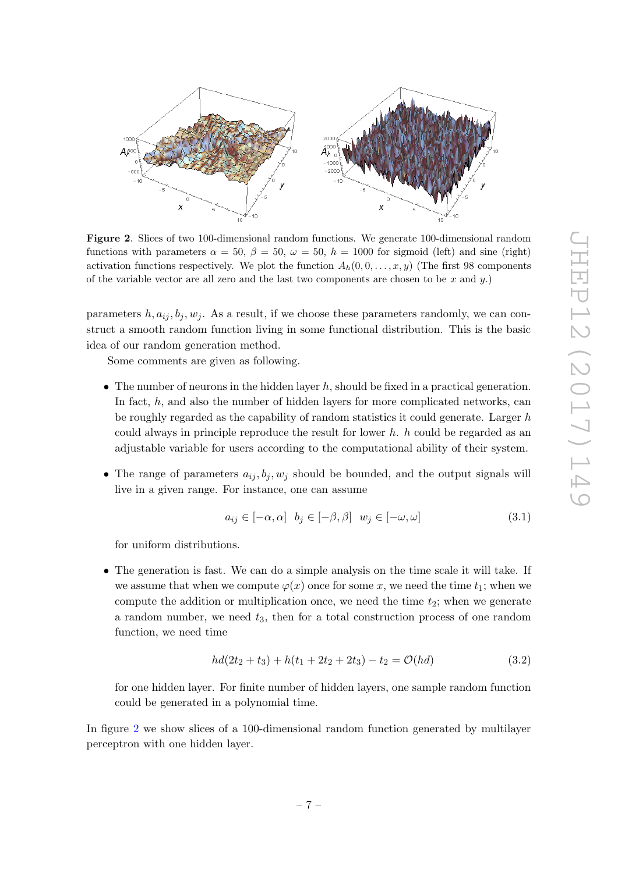

<span id="page-7-0"></span>Figure 2. Slices of two 100-dimensional random functions. We generate 100-dimensional random functions with parameters  $\alpha = 50$ ,  $\beta = 50$ ,  $\omega = 50$ ,  $h = 1000$  for sigmoid (left) and sine (right) activation functions respectively. We plot the function  $A_h(0, 0, \ldots, x, y)$  (The first 98 components of the variable vector are all zero and the last two components are chosen to be x and  $y$ .)

parameters  $h, a_{ij}, b_j, w_j$ . As a result, if we choose these parameters randomly, we can construct a smooth random function living in some functional distribution. This is the basic idea of our random generation method.

Some comments are given as following.

- The number of neurons in the hidden layer  $h$ , should be fixed in a practical generation. In fact, h, and also the number of hidden layers for more complicated networks, can be roughly regarded as the capability of random statistics it could generate. Larger h could always in principle reproduce the result for lower  $h$ .  $h$  could be regarded as an adjustable variable for users according to the computational ability of their system.
- The range of parameters  $a_{ij}, b_j, w_j$  should be bounded, and the output signals will live in a given range. For instance, one can assume

$$
a_{ij} \in [-\alpha, \alpha] \quad b_j \in [-\beta, \beta] \quad w_j \in [-\omega, \omega] \tag{3.1}
$$

for uniform distributions.

• The generation is fast. We can do a simple analysis on the time scale it will take. If we assume that when we compute  $\varphi(x)$  once for some x, we need the time  $t_1$ ; when we compute the addition or multiplication once, we need the time  $t_2$ ; when we generate a random number, we need  $t_3$ , then for a total construction process of one random function, we need time

$$
hd(2t_2 + t_3) + h(t_1 + 2t_2 + 2t_3) - t_2 = \mathcal{O}(hd)
$$
\n(3.2)

for one hidden layer. For finite number of hidden layers, one sample random function could be generated in a polynomial time.

In figure [2](#page-7-0) we show slices of a 100-dimensional random function generated by multilayer perceptron with one hidden layer.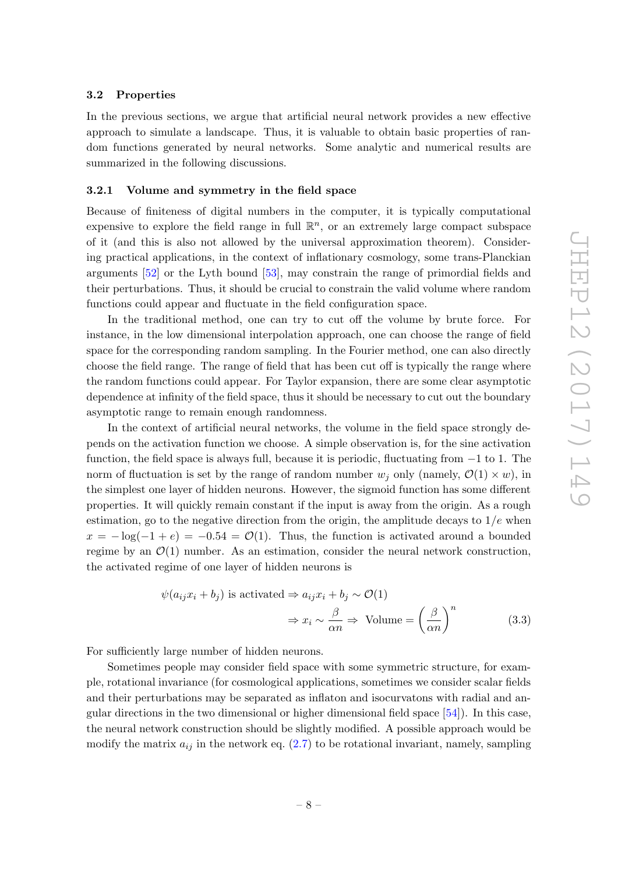#### <span id="page-8-0"></span>3.2 Properties

In the previous sections, we argue that artificial neural network provides a new effective approach to simulate a landscape. Thus, it is valuable to obtain basic properties of random functions generated by neural networks. Some analytic and numerical results are summarized in the following discussions.

### <span id="page-8-1"></span>3.2.1 Volume and symmetry in the field space

Because of finiteness of digital numbers in the computer, it is typically computational expensive to explore the field range in full  $\mathbb{R}^n$ , or an extremely large compact subspace of it (and this is also not allowed by the universal approximation theorem). Considering practical applications, in the context of inflationary cosmology, some trans-Planckian arguments [\[52\]](#page-18-3) or the Lyth bound [\[53\]](#page-18-4), may constrain the range of primordial fields and their perturbations. Thus, it should be crucial to constrain the valid volume where random functions could appear and fluctuate in the field configuration space.

In the traditional method, one can try to cut off the volume by brute force. For instance, in the low dimensional interpolation approach, one can choose the range of field space for the corresponding random sampling. In the Fourier method, one can also directly choose the field range. The range of field that has been cut off is typically the range where the random functions could appear. For Taylor expansion, there are some clear asymptotic dependence at infinity of the field space, thus it should be necessary to cut out the boundary asymptotic range to remain enough randomness.

In the context of artificial neural networks, the volume in the field space strongly depends on the activation function we choose. A simple observation is, for the sine activation function, the field space is always full, because it is periodic, fluctuating from −1 to 1. The norm of fluctuation is set by the range of random number  $w_i$  only (namely,  $\mathcal{O}(1) \times w$ ), in the simplest one layer of hidden neurons. However, the sigmoid function has some different properties. It will quickly remain constant if the input is away from the origin. As a rough estimation, go to the negative direction from the origin, the amplitude decays to  $1/e$  when  $x = -\log(-1 + e) = -0.54 = \mathcal{O}(1)$ . Thus, the function is activated around a bounded regime by an  $\mathcal{O}(1)$  number. As an estimation, consider the neural network construction, the activated regime of one layer of hidden neurons is

$$
\psi(a_{ij}x_i + b_j) \text{ is activated} \Rightarrow a_{ij}x_i + b_j \sim \mathcal{O}(1)
$$

$$
\Rightarrow x_i \sim \frac{\beta}{\alpha n} \Rightarrow \text{Volume} = \left(\frac{\beta}{\alpha n}\right)^n \tag{3.3}
$$

For sufficiently large number of hidden neurons.

Sometimes people may consider field space with some symmetric structure, for example, rotational invariance (for cosmological applications, sometimes we consider scalar fields and their perturbations may be separated as inflaton and isocurvatons with radial and angular directions in the two dimensional or higher dimensional field space [\[54\]](#page-18-5)). In this case, the neural network construction should be slightly modified. A possible approach would be modify the matrix  $a_{ij}$  in the network eq. [\(2.7\)](#page-5-0) to be rotational invariant, namely, sampling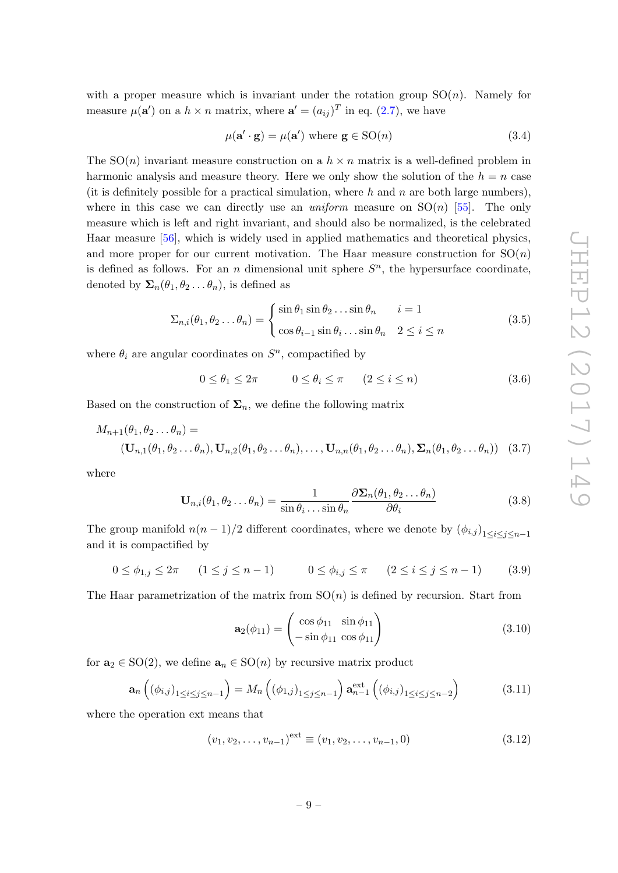with a proper measure which is invariant under the rotation group  $SO(n)$ . Namely for measure  $\mu(\mathbf{a}')$  on a  $h \times n$  matrix, where  $\mathbf{a}' = (a_{ij})^T$  in eq. [\(2.7\)](#page-5-0), we have

$$
\mu(\mathbf{a}' \cdot \mathbf{g}) = \mu(\mathbf{a}') \text{ where } \mathbf{g} \in \text{SO}(n) \tag{3.4}
$$

The  $SO(n)$  invariant measure construction on a  $h \times n$  matrix is a well-defined problem in harmonic analysis and measure theory. Here we only show the solution of the  $h = n$  case (it is definitely possible for a practical simulation, where h and n are both large numbers), where in this case we can directly use an *uniform* measure on  $SO(n)$  [\[55\]](#page-18-6). The only measure which is left and right invariant, and should also be normalized, is the celebrated Haar measure [\[56\]](#page-18-7), which is widely used in applied mathematics and theoretical physics, and more proper for our current motivation. The Haar measure construction for  $SO(n)$ is defined as follows. For an n dimensional unit sphere  $S<sup>n</sup>$ , the hypersurface coordinate, denoted by  $\Sigma_n(\theta_1, \theta_2 \dots \theta_n)$ , is defined as

$$
\Sigma_{n,i}(\theta_1, \theta_2 \dots \theta_n) = \begin{cases} \sin \theta_1 \sin \theta_2 \dots \sin \theta_n & i = 1 \\ \cos \theta_{i-1} \sin \theta_i \dots \sin \theta_n & 2 \le i \le n \end{cases}
$$
(3.5)

where  $\theta_i$  are angular coordinates on  $S^n$ , compactified by

 $0 \le \theta_1 \le 2\pi$   $0 \le \theta_i \le \pi$   $(2 \le i \le n)$  (3.6)

Based on the construction of  $\Sigma_n$ , we define the following matrix

$$
M_{n+1}(\theta_1, \theta_2 \dots \theta_n) =
$$
  
\n
$$
(\mathbf{U}_{n,1}(\theta_1, \theta_2 \dots \theta_n), \mathbf{U}_{n,2}(\theta_1, \theta_2 \dots \theta_n), \dots, \mathbf{U}_{n,n}(\theta_1, \theta_2 \dots \theta_n), \mathbf{\Sigma}_n(\theta_1, \theta_2 \dots \theta_n))
$$
 (3.7)

where

$$
\mathbf{U}_{n,i}(\theta_1, \theta_2 \dots \theta_n) = \frac{1}{\sin \theta_i \dots \sin \theta_n} \frac{\partial \mathbf{\Sigma}_n(\theta_1, \theta_2 \dots \theta_n)}{\partial \theta_i}
$$
(3.8)

The group manifold  $n(n-1)/2$  different coordinates, where we denote by  $(\phi_{i,j})_{1 \leq i \leq j \leq n-1}$ and it is compactified by

$$
0 \le \phi_{1,j} \le 2\pi \qquad (1 \le j \le n-1) \qquad 0 \le \phi_{i,j} \le \pi \qquad (2 \le i \le j \le n-1) \qquad (3.9)
$$

The Haar parametrization of the matrix from  $SO(n)$  is defined by recursion. Start from

$$
\mathbf{a}_2(\phi_{11}) = \begin{pmatrix} \cos \phi_{11} & \sin \phi_{11} \\ -\sin \phi_{11} & \cos \phi_{11} \end{pmatrix}
$$
 (3.10)

for  $\mathbf{a}_2 \in SO(2)$ , we define  $\mathbf{a}_n \in SO(n)$  by recursive matrix product

$$
\mathbf{a}_{n}\left(\left(\phi_{i,j}\right)_{1\leq i\leq j\leq n-1}\right)=M_{n}\left(\left(\phi_{1,j}\right)_{1\leq j\leq n-1}\right)\mathbf{a}_{n-1}^{\text{ext}}\left(\left(\phi_{i,j}\right)_{1\leq i\leq j\leq n-2}\right) \tag{3.11}
$$

where the operation ext means that

$$
(v_1, v_2, \dots, v_{n-1})^{\text{ext}} \equiv (v_1, v_2, \dots, v_{n-1}, 0)
$$
\n(3.12)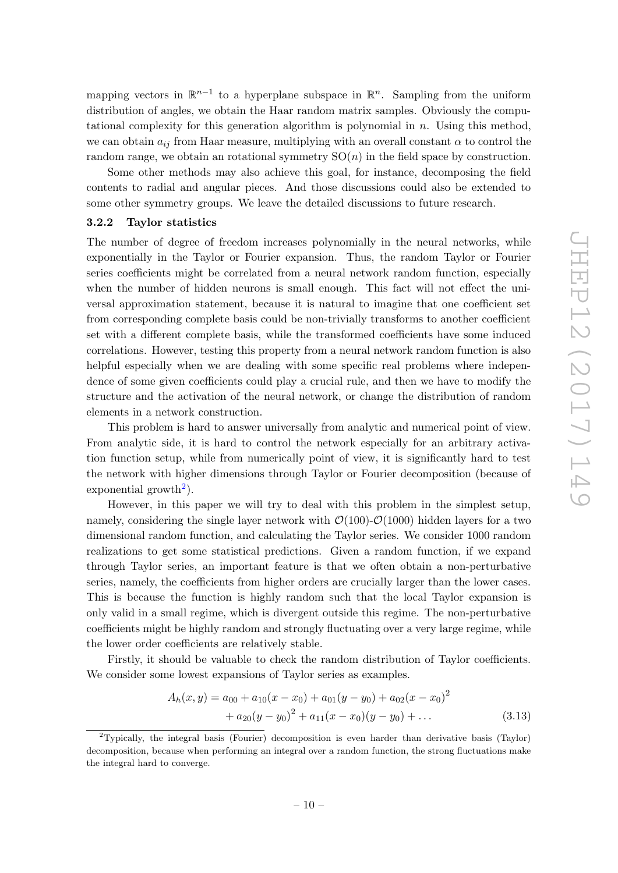mapping vectors in  $\mathbb{R}^{n-1}$  to a hyperplane subspace in  $\mathbb{R}^n$ . Sampling from the uniform distribution of angles, we obtain the Haar random matrix samples. Obviously the computational complexity for this generation algorithm is polynomial in  $n$ . Using this method, we can obtain  $a_{ij}$  from Haar measure, multiplying with an overall constant  $\alpha$  to control the random range, we obtain an rotational symmetry  $SO(n)$  in the field space by construction.

Some other methods may also achieve this goal, for instance, decomposing the field contents to radial and angular pieces. And those discussions could also be extended to some other symmetry groups. We leave the detailed discussions to future research.

## <span id="page-10-0"></span>3.2.2 Taylor statistics

The number of degree of freedom increases polynomially in the neural networks, while exponentially in the Taylor or Fourier expansion. Thus, the random Taylor or Fourier series coefficients might be correlated from a neural network random function, especially when the number of hidden neurons is small enough. This fact will not effect the universal approximation statement, because it is natural to imagine that one coefficient set from corresponding complete basis could be non-trivially transforms to another coefficient set with a different complete basis, while the transformed coefficients have some induced correlations. However, testing this property from a neural network random function is also helpful especially when we are dealing with some specific real problems where independence of some given coefficients could play a crucial rule, and then we have to modify the structure and the activation of the neural network, or change the distribution of random elements in a network construction.

This problem is hard to answer universally from analytic and numerical point of view. From analytic side, it is hard to control the network especially for an arbitrary activation function setup, while from numerically point of view, it is significantly hard to test the network with higher dimensions through Taylor or Fourier decomposition (because of exponential growth<sup>[2](#page-10-1)</sup>).

However, in this paper we will try to deal with this problem in the simplest setup, namely, considering the single layer network with  $\mathcal{O}(100)$ - $\mathcal{O}(1000)$  hidden layers for a two dimensional random function, and calculating the Taylor series. We consider 1000 random realizations to get some statistical predictions. Given a random function, if we expand through Taylor series, an important feature is that we often obtain a non-perturbative series, namely, the coefficients from higher orders are crucially larger than the lower cases. This is because the function is highly random such that the local Taylor expansion is only valid in a small regime, which is divergent outside this regime. The non-perturbative coefficients might be highly random and strongly fluctuating over a very large regime, while the lower order coefficients are relatively stable.

Firstly, it should be valuable to check the random distribution of Taylor coefficients. We consider some lowest expansions of Taylor series as examples.

$$
A_h(x,y) = a_{00} + a_{10}(x - x_0) + a_{01}(y - y_0) + a_{02}(x - x_0)^2
$$
  
+ 
$$
a_{20}(y - y_0)^2 + a_{11}(x - x_0)(y - y_0) + ...
$$
 (3.13)

<span id="page-10-1"></span><sup>&</sup>lt;sup>2</sup>Typically, the integral basis (Fourier) decomposition is even harder than derivative basis (Taylor) decomposition, because when performing an integral over a random function, the strong fluctuations make the integral hard to converge.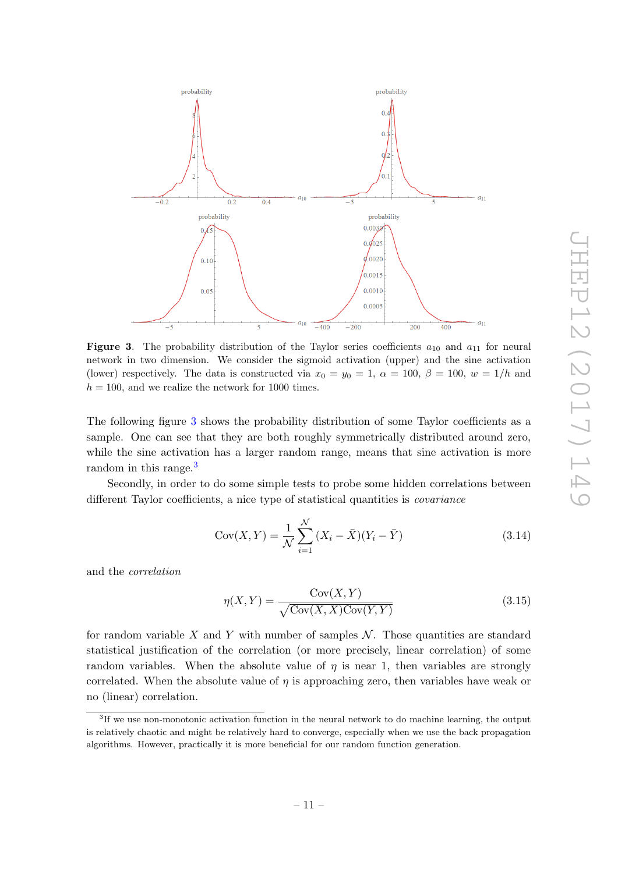

<span id="page-11-0"></span>**Figure 3.** The probability distribution of the Taylor series coefficients  $a_{10}$  and  $a_{11}$  for neural network in two dimension. We consider the sigmoid activation (upper) and the sine activation (lower) respectively. The data is constructed via  $x_0 = y_0 = 1$ ,  $\alpha = 100$ ,  $\beta = 100$ ,  $w = 1/h$  and  $h = 100$ , and we realize the network for 1000 times.

The following figure [3](#page-11-0) shows the probability distribution of some Taylor coefficients as a sample. One can see that they are both roughly symmetrically distributed around zero, while the sine activation has a larger random range, means that sine activation is more random in this range.<sup>[3](#page-11-1)</sup>

Secondly, in order to do some simple tests to probe some hidden correlations between different Taylor coefficients, a nice type of statistical quantities is covariance

Cov
$$
(X, Y) = \frac{1}{N} \sum_{i=1}^{N} (X_i - \bar{X})(Y_i - \bar{Y})
$$
 (3.14)

and the correlation

$$
\eta(X,Y) = \frac{\text{Cov}(X,Y)}{\sqrt{\text{Cov}(X,X)\text{Cov}(Y,Y)}}
$$
(3.15)

for random variable X and Y with number of samples  $\mathcal N$ . Those quantities are standard statistical justification of the correlation (or more precisely, linear correlation) of some random variables. When the absolute value of  $\eta$  is near 1, then variables are strongly correlated. When the absolute value of  $\eta$  is approaching zero, then variables have weak or no (linear) correlation.

<span id="page-11-1"></span><sup>&</sup>lt;sup>3</sup>If we use non-monotonic activation function in the neural network to do machine learning, the output is relatively chaotic and might be relatively hard to converge, especially when we use the back propagation algorithms. However, practically it is more beneficial for our random function generation.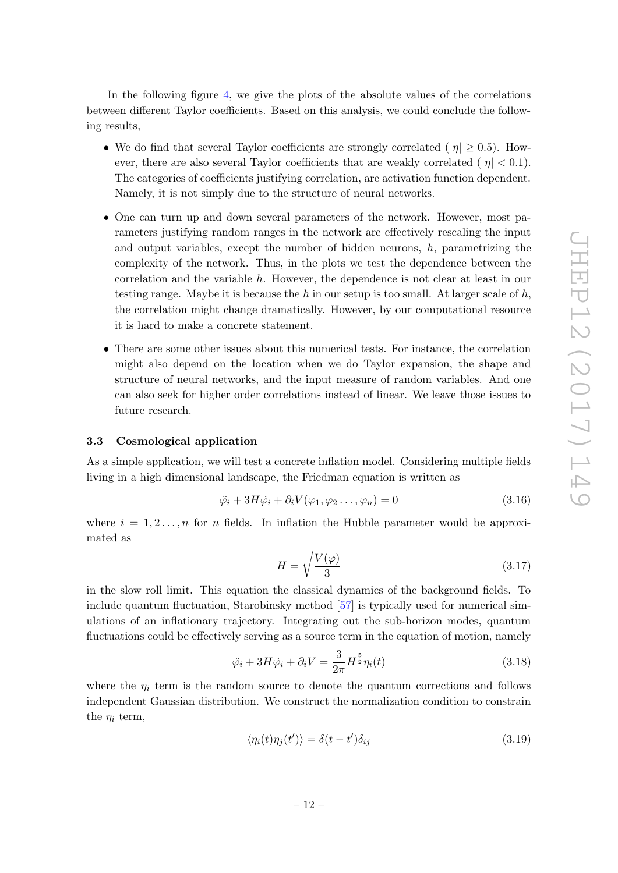In the following figure [4,](#page-13-0) we give the plots of the absolute values of the correlations between different Taylor coefficients. Based on this analysis, we could conclude the following results,

- We do find that several Taylor coefficients are strongly correlated ( $|\eta| \geq 0.5$ ). However, there are also several Taylor coefficients that are weakly correlated  $(|\eta| < 0.1)$ . The categories of coefficients justifying correlation, are activation function dependent. Namely, it is not simply due to the structure of neural networks.
- One can turn up and down several parameters of the network. However, most parameters justifying random ranges in the network are effectively rescaling the input and output variables, except the number of hidden neurons,  $h$ , parametrizing the complexity of the network. Thus, in the plots we test the dependence between the correlation and the variable h. However, the dependence is not clear at least in our testing range. Maybe it is because the h in our setup is too small. At larger scale of h, the correlation might change dramatically. However, by our computational resource it is hard to make a concrete statement.
- There are some other issues about this numerical tests. For instance, the correlation might also depend on the location when we do Taylor expansion, the shape and structure of neural networks, and the input measure of random variables. And one can also seek for higher order correlations instead of linear. We leave those issues to future research.

## <span id="page-12-0"></span>3.3 Cosmological application

As a simple application, we will test a concrete inflation model. Considering multiple fields living in a high dimensional landscape, the Friedman equation is written as

$$
\ddot{\varphi}_i + 3H\dot{\varphi}_i + \partial_i V(\varphi_1, \varphi_2 \dots, \varphi_n) = 0 \tag{3.16}
$$

where  $i = 1, 2, \ldots, n$  for n fields. In inflation the Hubble parameter would be approximated as

$$
H = \sqrt{\frac{V(\varphi)}{3}}\tag{3.17}
$$

in the slow roll limit. This equation the classical dynamics of the background fields. To include quantum fluctuation, Starobinsky method [\[57\]](#page-18-8) is typically used for numerical simulations of an inflationary trajectory. Integrating out the sub-horizon modes, quantum fluctuations could be effectively serving as a source term in the equation of motion, namely

$$
\ddot{\varphi}_i + 3H\dot{\varphi}_i + \partial_i V = \frac{3}{2\pi} H^{\frac{5}{2}} \eta_i(t)
$$
\n(3.18)

where the  $\eta_i$  term is the random source to denote the quantum corrections and follows independent Gaussian distribution. We construct the normalization condition to constrain the  $\eta_i$  term,

$$
\langle \eta_i(t)\eta_j(t')\rangle = \delta(t - t')\delta_{ij}
$$
\n(3.19)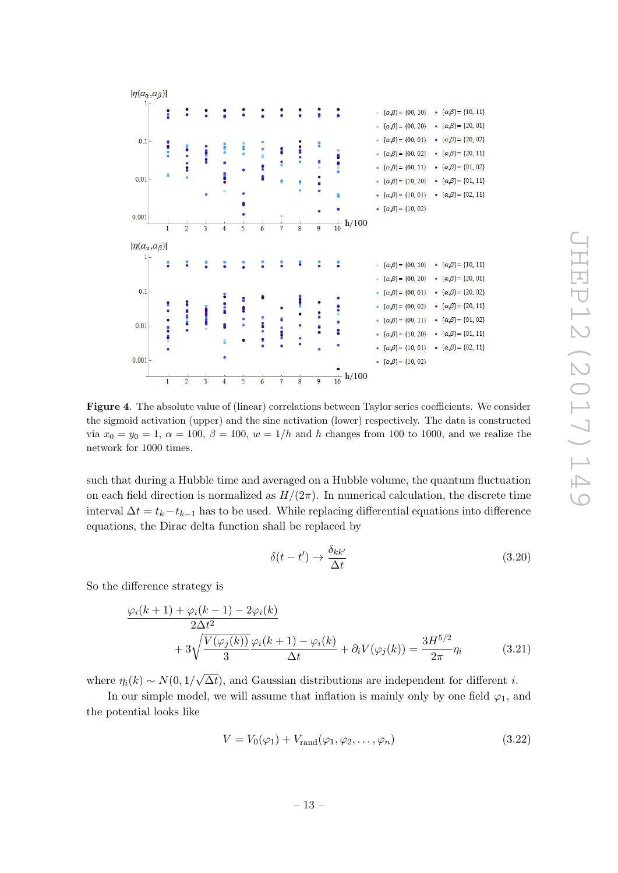

<span id="page-13-0"></span>Figure 4. The absolute value of (linear) correlations between Taylor series coefficients. We consider the sigmoid activation (upper) and the sine activation (lower) respectively. The data is constructed via  $x_0 = y_0 = 1, \ \alpha = 100, \ \beta = 100, \ w = 1/h$  and h changes from 100 to 1000, and we realize the network for 1000 times.

such that during a Hubble time and averaged on a Hubble volume, the quantum fluctuation on each field direction is normalized as  $H/(2\pi)$ . In numerical calculation, the discrete time interval  $\Delta t = t_k - t_{k-1}$  has to be used. While replacing differential equations into difference equations, the Dirac delta function shall be replaced by

$$
\delta(t - t') \to \frac{\delta_{kk'}}{\Delta t} \tag{3.20}
$$

So the difference strategy is

$$
\frac{\varphi_i(k+1) + \varphi_i(k-1) - 2\varphi_i(k)}{2\Delta t^2} + 3\sqrt{\frac{V(\varphi_j(k))}{3}}\frac{\varphi_i(k+1) - \varphi_i(k)}{\Delta t} + \partial_i V(\varphi_j(k)) = \frac{3H^{5/2}}{2\pi}\eta_i
$$
(3.21)

where  $\eta_i(k) \sim N(0, 1/$ √  $\Delta t$ , and Gaussian distributions are independent for different *i*.

In our simple model, we will assume that inflation is mainly only by one field  $\varphi_1$ , and the potential looks like

$$
V = V_0(\varphi_1) + V_{\text{rand}}(\varphi_1, \varphi_2, \dots, \varphi_n)
$$
\n(3.22)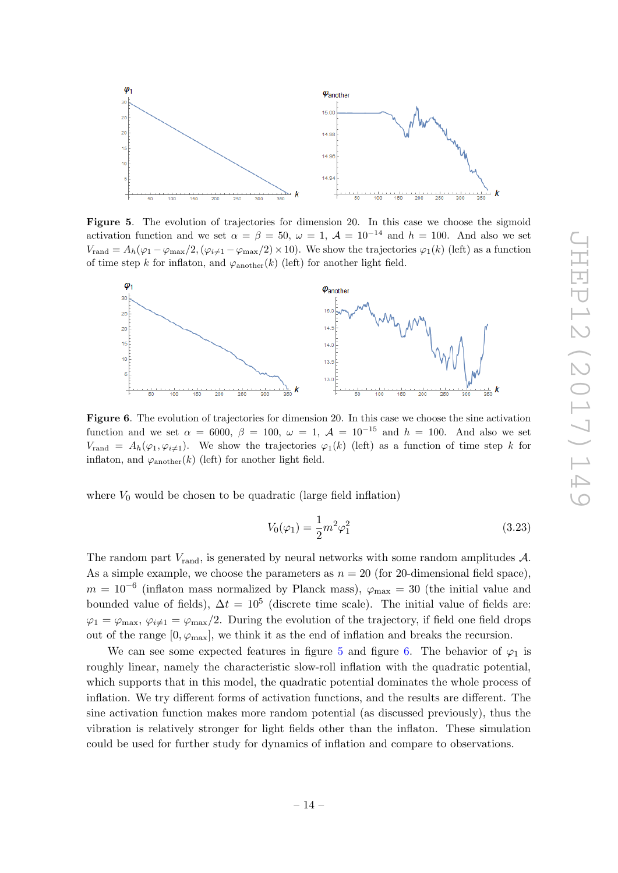

<span id="page-14-0"></span>Figure 5. The evolution of trajectories for dimension 20. In this case we choose the sigmoid activation function and we set  $\alpha = \beta = 50$ ,  $\omega = 1$ ,  $\mathcal{A} = 10^{-14}$  and  $h = 100$ . And also we set  $V_{\text{rand}} = A_h(\varphi_1 - \varphi_{\text{max}}/2, (\varphi_{i\neq 1} - \varphi_{\text{max}}/2) \times 10)$ . We show the trajectories  $\varphi_1(k)$  (left) as a function of time step k for inflaton, and  $\varphi_{\text{another}}(k)$  (left) for another light field.



<span id="page-14-1"></span>Figure 6. The evolution of trajectories for dimension 20. In this case we choose the sine activation function and we set  $\alpha = 6000$ ,  $\beta = 100$ ,  $\omega = 1$ ,  $\mathcal{A} = 10^{-15}$  and  $h = 100$ . And also we set  $V_{\text{rand}} = A_h(\varphi_1, \varphi_{i\neq 1}).$  We show the trajectories  $\varphi_1(k)$  (left) as a function of time step k for inflaton, and  $\varphi_{\text{another}}(k)$  (left) for another light field.

where  $V_0$  would be chosen to be quadratic (large field inflation)

$$
V_0(\varphi_1) = \frac{1}{2}m^2\varphi_1^2
$$
\n(3.23)

The random part  $V_{\text{rand}}$ , is generated by neural networks with some random amplitudes  $\mathcal{A}$ . As a simple example, we choose the parameters as  $n = 20$  (for 20-dimensional field space),  $m = 10^{-6}$  (inflaton mass normalized by Planck mass),  $\varphi_{\text{max}} = 30$  (the initial value and bounded value of fields),  $\Delta t = 10^5$  (discrete time scale). The initial value of fields are:  $\varphi_1 = \varphi_{\text{max}}, \varphi_{i\neq 1} = \varphi_{\text{max}}/2$ . During the evolution of the trajectory, if field one field drops out of the range  $[0, \varphi_{\text{max}}]$ , we think it as the end of inflation and breaks the recursion.

We can see some expected features in figure [5](#page-14-0) and figure [6.](#page-14-1) The behavior of  $\varphi_1$  is roughly linear, namely the characteristic slow-roll inflation with the quadratic potential, which supports that in this model, the quadratic potential dominates the whole process of inflation. We try different forms of activation functions, and the results are different. The sine activation function makes more random potential (as discussed previously), thus the vibration is relatively stronger for light fields other than the inflaton. These simulation could be used for further study for dynamics of inflation and compare to observations.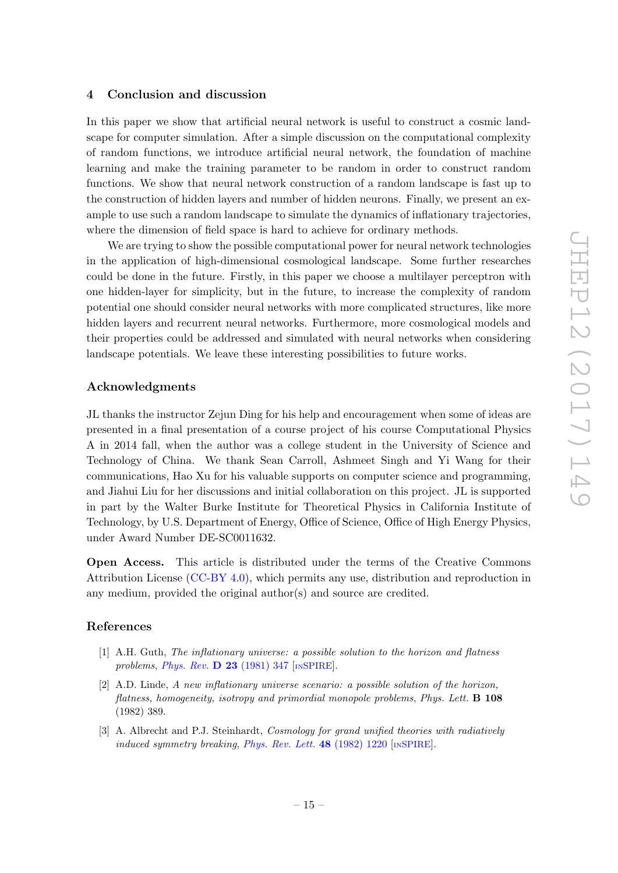## <span id="page-15-0"></span>4 Conclusion and discussion

In this paper we show that artificial neural network is useful to construct a cosmic landscape for computer simulation. After a simple discussion on the computational complexity of random functions, we introduce artificial neural network, the foundation of machine learning and make the training parameter to be random in order to construct random functions. We show that neural network construction of a random landscape is fast up to the construction of hidden layers and number of hidden neurons. Finally, we present an example to use such a random landscape to simulate the dynamics of inflationary trajectories, where the dimension of field space is hard to achieve for ordinary methods.

We are trying to show the possible computational power for neural network technologies in the application of high-dimensional cosmological landscape. Some further researches could be done in the future. Firstly, in this paper we choose a multilayer perceptron with one hidden-layer for simplicity, but in the future, to increase the complexity of random potential one should consider neural networks with more complicated structures, like more hidden layers and recurrent neural networks. Furthermore, more cosmological models and their properties could be addressed and simulated with neural networks when considering landscape potentials. We leave these interesting possibilities to future works.

## Acknowledgments

JL thanks the instructor Zejun Ding for his help and encouragement when some of ideas are presented in a final presentation of a course project of his course Computational Physics A in 2014 fall, when the author was a college student in the University of Science and Technology of China. We thank Sean Carroll, Ashmeet Singh and Yi Wang for their communications, Hao Xu for his valuable supports on computer science and programming, and Jiahui Liu for her discussions and initial collaboration on this project. JL is supported in part by the Walter Burke Institute for Theoretical Physics in California Institute of Technology, by U.S. Department of Energy, Office of Science, Office of High Energy Physics, under Award Number DE-SC0011632.

Open Access. This article is distributed under the terms of the Creative Commons Attribution License [\(CC-BY 4.0\)](https://creativecommons.org/licenses/by/4.0/), which permits any use, distribution and reproduction in any medium, provided the original author(s) and source are credited.

## References

- <span id="page-15-1"></span>[1] A.H. Guth, The inflationary universe: a possible solution to the horizon and flatness problems, [Phys. Rev.](https://doi.org/10.1103/PhysRevD.23.347)  $\bf{D}$  23 (1981) 347 [IN[SPIRE](https://inspirehep.net/search?p=find+J+%22Phys.Rev.,D23,347%22)].
- [2] A.D. Linde, A new inflationary universe scenario: a possible solution of the horizon, flatness, homogeneity, isotropy and primordial monopole problems, Phys. Lett. B 108 (1982) 389.
- <span id="page-15-2"></span>[3] A. Albrecht and P.J. Steinhardt, *Cosmology for grand unified theories with radiatively* induced symmetry breaking, *[Phys. Rev. Lett.](https://doi.org/10.1103/PhysRevLett.48.1220)*  $48$  (1982) 1220 [IN[SPIRE](https://inspirehep.net/search?p=find+J+%22Phys.Rev.Lett.,48,1220%22)].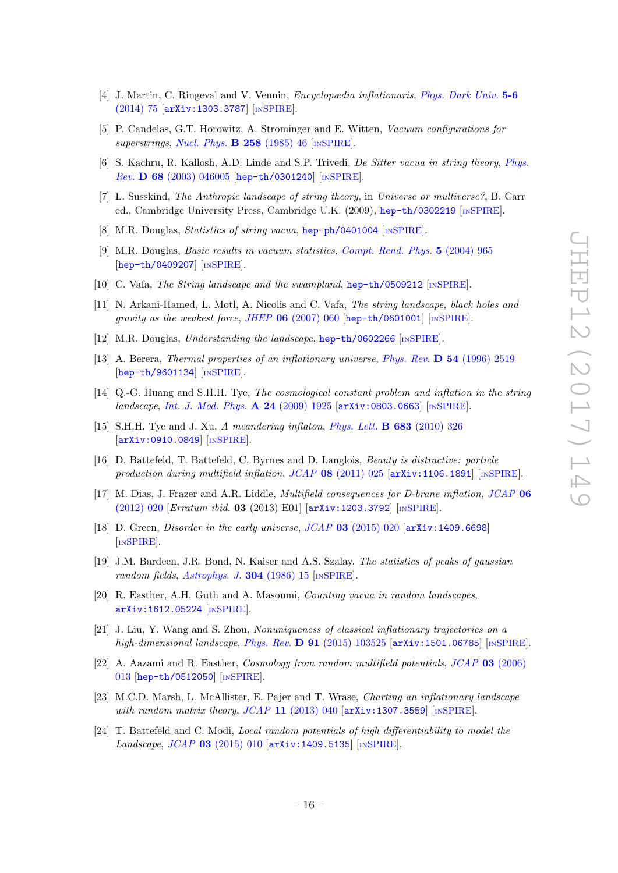- <span id="page-16-0"></span>[4] J. Martin, C. Ringeval and V. Vennin, Encyclopædia inflationaris, [Phys. Dark Univ.](https://doi.org/10.1016/j.dark.2014.01.003) 5-6 [\(2014\) 75](https://doi.org/10.1016/j.dark.2014.01.003) [[arXiv:1303.3787](https://arxiv.org/abs/1303.3787)] [IN[SPIRE](https://inspirehep.net/search?p=find+EPRINT+arXiv:1303.3787)].
- <span id="page-16-6"></span>[5] P. Candelas, G.T. Horowitz, A. Strominger and E. Witten, Vacuum configurations for superstrings, [Nucl. Phys.](https://doi.org/10.1016/0550-3213(85)90602-9)  $\bf{B}$  258 (1985) 46 [IN[SPIRE](https://inspirehep.net/search?p=find+J+%22Nucl.Phys.,B258,46%22)].
- [6] S. Kachru, R. Kallosh, A.D. Linde and S.P. Trivedi, De Sitter vacua in string theory, [Phys.](https://doi.org/10.1103/PhysRevD.68.046005) Rev. D 68 [\(2003\) 046005](https://doi.org/10.1103/PhysRevD.68.046005) [[hep-th/0301240](https://arxiv.org/abs/hep-th/0301240)] [IN[SPIRE](https://inspirehep.net/search?p=find+EPRINT+hep-th/0301240)].
- [7] L. Susskind, The Anthropic landscape of string theory, in Universe or multiverse?, B. Carr ed., Cambridge University Press, Cambridge U.K. (2009), [hep-th/0302219](https://arxiv.org/abs/hep-th/0302219) [IN[SPIRE](https://inspirehep.net/search?p=find+EPRINT+hep-th/0302219)].
- [8] M.R. Douglas, Statistics of string vacua, [hep-ph/0401004](https://arxiv.org/abs/hep-ph/0401004) [IN[SPIRE](https://inspirehep.net/search?p=find+EPRINT+hep-ph/0401004)].
- [9] M.R. Douglas, Basic results in vacuum statistics, [Compt. Rend. Phys.](https://doi.org/10.1016/j.crhy.2004.09.008) 5 (2004) 965 [[hep-th/0409207](https://arxiv.org/abs/hep-th/0409207)] [IN[SPIRE](https://inspirehep.net/search?p=find+EPRINT+hep-th/0409207)].
- [10] C. Vafa, The String landscape and the swampland, [hep-th/0509212](https://arxiv.org/abs/hep-th/0509212) [IN[SPIRE](https://inspirehep.net/search?p=find+EPRINT+hep-th/0509212)].
- [11] N. Arkani-Hamed, L. Motl, A. Nicolis and C. Vafa, The string landscape, black holes and gravity as the weakest force, JHEP  $06$  [\(2007\) 060](https://doi.org/10.1088/1126-6708/2007/06/060) [[hep-th/0601001](https://arxiv.org/abs/hep-th/0601001)] [IN[SPIRE](https://inspirehep.net/search?p=find+EPRINT+hep-th/0601001)].
- <span id="page-16-7"></span>[12] M.R. Douglas, Understanding the landscape, [hep-th/0602266](https://arxiv.org/abs/hep-th/0602266) [IN[SPIRE](https://inspirehep.net/search?p=find+EPRINT+hep-th/0602266)].
- <span id="page-16-1"></span>[13] A. Berera, Thermal properties of an inflationary universe, Phys. Rev. D 54 [\(1996\) 2519](https://doi.org/10.1103/PhysRevD.54.2519) [[hep-th/9601134](https://arxiv.org/abs/hep-th/9601134)] [IN[SPIRE](https://inspirehep.net/search?p=find+EPRINT+hep-th/9601134)].
- [14] Q.-G. Huang and S.H.H. Tye, *The cosmological constant problem and inflation in the string* landscape, [Int. J. Mod. Phys.](https://doi.org/10.1142/S0217751X0904316X) A 24 (2009) 1925 [[arXiv:0803.0663](https://arxiv.org/abs/0803.0663)] [IN[SPIRE](https://inspirehep.net/search?p=find+EPRINT+arXiv:0803.0663)].
- [15] S.H.H. Tye and J. Xu, A meandering inflaton, [Phys. Lett.](https://doi.org/10.1016/j.physletb.2009.12.045) B 683 (2010) 326 [[arXiv:0910.0849](https://arxiv.org/abs/0910.0849)] [IN[SPIRE](https://inspirehep.net/search?p=find+EPRINT+arXiv:0910.0849)].
- [16] D. Battefeld, T. Battefeld, C. Byrnes and D. Langlois, Beauty is distractive: particle production during multifield inflation,  $JCAP$  08 [\(2011\) 025](https://doi.org/10.1088/1475-7516/2011/08/025) [[arXiv:1106.1891](https://arxiv.org/abs/1106.1891)] [IN[SPIRE](https://inspirehep.net/search?p=find+EPRINT+arXiv:1106.1891)].
- [17] M. Dias, J. Frazer and A.R. Liddle, *Multifield consequences for D-brane inflation*, *[JCAP](https://doi.org/10.1088/1475-7516/2012/06/020)* 06 [\(2012\) 020](https://doi.org/10.1088/1475-7516/2012/06/020) [Erratum ibid. 03 (2013) E01] [[arXiv:1203.3792](https://arxiv.org/abs/1203.3792)] [IN[SPIRE](https://inspirehep.net/search?p=find+EPRINT+arXiv:1203.3792)].
- <span id="page-16-2"></span>[18] D. Green, *Disorder in the early universe, JCAP* 03 [\(2015\) 020](https://doi.org/10.1088/1475-7516/2015/03/020) [[arXiv:1409.6698](https://arxiv.org/abs/1409.6698)] [IN[SPIRE](https://inspirehep.net/search?p=find+EPRINT+arXiv:1409.6698)].
- <span id="page-16-3"></span>[19] J.M. Bardeen, J.R. Bond, N. Kaiser and A.S. Szalay, The statistics of peaks of gaussian random fields, [Astrophys. J.](https://doi.org/10.1086/164143) **304** (1986) 15 [IN[SPIRE](https://inspirehep.net/search?p=find+J+%22Astrophys.J.,304,15%22)].
- <span id="page-16-4"></span>[20] R. Easther, A.H. Guth and A. Masoumi, Counting vacua in random landscapes, [arXiv:1612.05224](https://arxiv.org/abs/1612.05224) [IN[SPIRE](https://inspirehep.net/search?p=find+EPRINT+arXiv:1612.05224)].
- <span id="page-16-5"></span>[21] J. Liu, Y. Wang and S. Zhou, Nonuniqueness of classical inflationary trajectories on a high-dimensional landscape, Phys. Rev.  $\bf{D}$  91 [\(2015\) 103525](https://doi.org/10.1103/PhysRevD.91.103525) [[arXiv:1501.06785](https://arxiv.org/abs/1501.06785)] [IN[SPIRE](https://inspirehep.net/search?p=find+EPRINT+arXiv:1501.06785)].
- <span id="page-16-8"></span>[22] A. Aazami and R. Easther, Cosmology from random multifield potentials, JCAP 03 [\(2006\)](https://doi.org/10.1088/1475-7516/2006/03/013) [013](https://doi.org/10.1088/1475-7516/2006/03/013) [[hep-th/0512050](https://arxiv.org/abs/hep-th/0512050)] [IN[SPIRE](https://inspirehep.net/search?p=find+EPRINT+hep-th/0512050)].
- <span id="page-16-9"></span>[23] M.C.D. Marsh, L. McAllister, E. Pajer and T. Wrase, Charting an inflationary landscape with random matrix theory,  $JCAP$  11 [\(2013\) 040](https://doi.org/10.1088/1475-7516/2013/11/040)  $[$ [arXiv:1307.3559](https://arxiv.org/abs/1307.3559) $]$  [IN[SPIRE](https://inspirehep.net/search?p=find+EPRINT+arXiv:1307.3559)].
- <span id="page-16-10"></span>[24] T. Battefeld and C. Modi, *Local random potentials of high differentiability to model the Landscape, JCAP* 03 [\(2015\) 010](https://doi.org/10.1088/1475-7516/2015/03/010)  $\text{arXiv:1409.5135}$  $\text{arXiv:1409.5135}$  $\text{arXiv:1409.5135}$  [IN[SPIRE](https://inspirehep.net/search?p=find+EPRINT+arXiv:1409.5135)].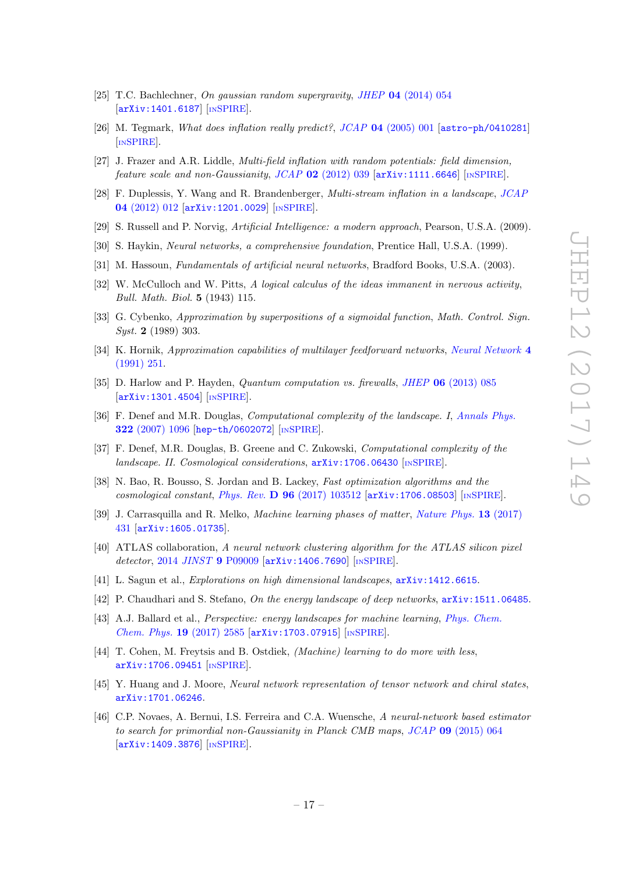- <span id="page-17-0"></span>[25] T.C. Bachlechner, On gaussian random supergravity, JHEP 04 [\(2014\) 054](https://doi.org/10.1007/JHEP04(2014)054) [[arXiv:1401.6187](https://arxiv.org/abs/1401.6187)] [IN[SPIRE](https://inspirehep.net/search?p=find+EPRINT+arXiv:1401.6187)].
- <span id="page-17-1"></span>[26] M. Tegmark, What does inflation really predict?, JCAP 04 [\(2005\) 001](https://doi.org/10.1088/1475-7516/2005/04/001) [[astro-ph/0410281](https://arxiv.org/abs/astro-ph/0410281)] [IN[SPIRE](https://inspirehep.net/search?p=find+EPRINT+astro-ph/0410281)].
- <span id="page-17-2"></span>[27] J. Frazer and A.R. Liddle, Multi-field inflation with random potentials: field dimension, feature scale and non-Gaussianity,  $JCAP$  02 [\(2012\) 039](https://doi.org/10.1088/1475-7516/2012/02/039) [[arXiv:1111.6646](https://arxiv.org/abs/1111.6646)] [IN[SPIRE](https://inspirehep.net/search?p=find+EPRINT+arXiv:1111.6646)].
- <span id="page-17-3"></span>[28] F. Duplessis, Y. Wang and R. Brandenberger, Multi-stream inflation in a landscape, [JCAP](https://doi.org/10.1088/1475-7516/2012/04/012) 04 [\(2012\) 012](https://doi.org/10.1088/1475-7516/2012/04/012) [[arXiv:1201.0029](https://arxiv.org/abs/1201.0029)] [IN[SPIRE](https://inspirehep.net/search?p=find+EPRINT+arXiv:1201.0029)].
- <span id="page-17-4"></span>[29] S. Russell and P. Norvig, Artificial Intelligence: a modern approach, Pearson, U.S.A. (2009).
- [30] S. Haykin, Neural networks, a comprehensive foundation, Prentice Hall, U.S.A. (1999).
- <span id="page-17-10"></span>[31] M. Hassoun, Fundamentals of artificial neural networks, Bradford Books, U.S.A. (2003).
- <span id="page-17-5"></span>[32] W. McCulloch and W. Pitts, A logical calculus of the ideas immanent in nervous activity, Bull. Math. Biol. 5 (1943) 115.
- <span id="page-17-6"></span>[33] G. Cybenko, Approximation by superpositions of a sigmoidal function, Math. Control. Sign. Syst. 2 (1989) 303.
- <span id="page-17-7"></span>[34] K. Hornik, Approximation capabilities of multilayer feedforward networks, [Neural Network](https://doi.org/10.1016/0893-6080(91)90009-T) 4 [\(1991\) 251.](https://doi.org/10.1016/0893-6080(91)90009-T)
- <span id="page-17-8"></span>[35] D. Harlow and P. Hayden, Quantum computation vs. firewalls, JHEP 06 [\(2013\) 085](https://doi.org/10.1007/JHEP06(2013)085) [[arXiv:1301.4504](https://arxiv.org/abs/1301.4504)] [IN[SPIRE](https://inspirehep.net/search?p=find+EPRINT+arXiv:1301.4504)].
- [36] F. Denef and M.R. Douglas, Computational complexity of the landscape. I, [Annals Phys.](https://doi.org/10.1016/j.aop.2006.07.013) 322 [\(2007\) 1096](https://doi.org/10.1016/j.aop.2006.07.013) [[hep-th/0602072](https://arxiv.org/abs/hep-th/0602072)] [IN[SPIRE](https://inspirehep.net/search?p=find+EPRINT+hep-th/0602072)].
- [37] F. Denef, M.R. Douglas, B. Greene and C. Zukowski, Computational complexity of the landscape. II. Cosmological considerations,  $arXiv:1706.06430$  [IN[SPIRE](https://inspirehep.net/search?p=find+EPRINT+arXiv:1706.06430)].
- <span id="page-17-9"></span>[38] N. Bao, R. Bousso, S. Jordan and B. Lackey, Fast optimization algorithms and the cosmological constant, Phys. Rev. D  $96$  [\(2017\) 103512](https://doi.org/10.1103/PhysRevD.96.103512) [[arXiv:1706.08503](https://arxiv.org/abs/1706.08503)] [IN[SPIRE](https://inspirehep.net/search?p=find+EPRINT+arXiv:1706.08503)].
- <span id="page-17-11"></span>[39] J. Carrasquilla and R. Melko, Machine learning phases of matter, [Nature Phys.](http://dx.doi.org/10.1038/nphys4035) 13 (2017) [431](http://dx.doi.org/10.1038/nphys4035) [[arXiv:1605.01735](https://arxiv.org/abs/1605.01735)].
- <span id="page-17-12"></span>[40] ATLAS collaboration, A neural network clustering algorithm for the ATLAS silicon pixel detector, 2014 JINST 9 [P09009](https://doi.org/10.1088/1748-0221/9/09/P09009) [[arXiv:1406.7690](https://arxiv.org/abs/1406.7690)] [IN[SPIRE](https://inspirehep.net/search?p=find+EPRINT+arXiv:1406.7690)].
- <span id="page-17-13"></span>[41] L. Sagun et al., Explorations on high dimensional landscapes, [arXiv:1412.6615](https://arxiv.org/abs/1412.6615).
- [42] P. Chaudhari and S. Stefano, On the energy landscape of deep networks,  $arXiv:1511.06485$ .
- <span id="page-17-14"></span>[43] A.J. Ballard et al., *Perspective: energy landscapes for machine learning, [Phys. Chem.](https://doi.org/10.1039/C7CP01108C)* [Chem. Phys.](https://doi.org/10.1039/C7CP01108C) 19 (2017) 2585 [[arXiv:1703.07915](https://arxiv.org/abs/1703.07915)] [IN[SPIRE](https://inspirehep.net/search?p=find+EPRINT+arXiv:1703.07915)].
- <span id="page-17-15"></span>[44] T. Cohen, M. Freytsis and B. Ostdiek, *(Machine) learning to do more with less*, [arXiv:1706.09451](https://arxiv.org/abs/1706.09451) [IN[SPIRE](https://inspirehep.net/search?p=find+EPRINT+arXiv:1706.09451)].
- <span id="page-17-16"></span>[45] Y. Huang and J. Moore, Neural network representation of tensor network and chiral states, [arXiv:1701.06246](https://arxiv.org/abs/1701.06246).
- <span id="page-17-17"></span>[46] C.P. Novaes, A. Bernui, I.S. Ferreira and C.A. Wuensche, A neural-network based estimator to search for primordial non-Gaussianity in Planck CMB maps, JCAP 09 [\(2015\) 064](https://doi.org/10.1088/1475-7516/2015/09/064) [[arXiv:1409.3876](https://arxiv.org/abs/1409.3876)] [IN[SPIRE](https://inspirehep.net/search?p=find+EPRINT+arXiv:1409.3876)].